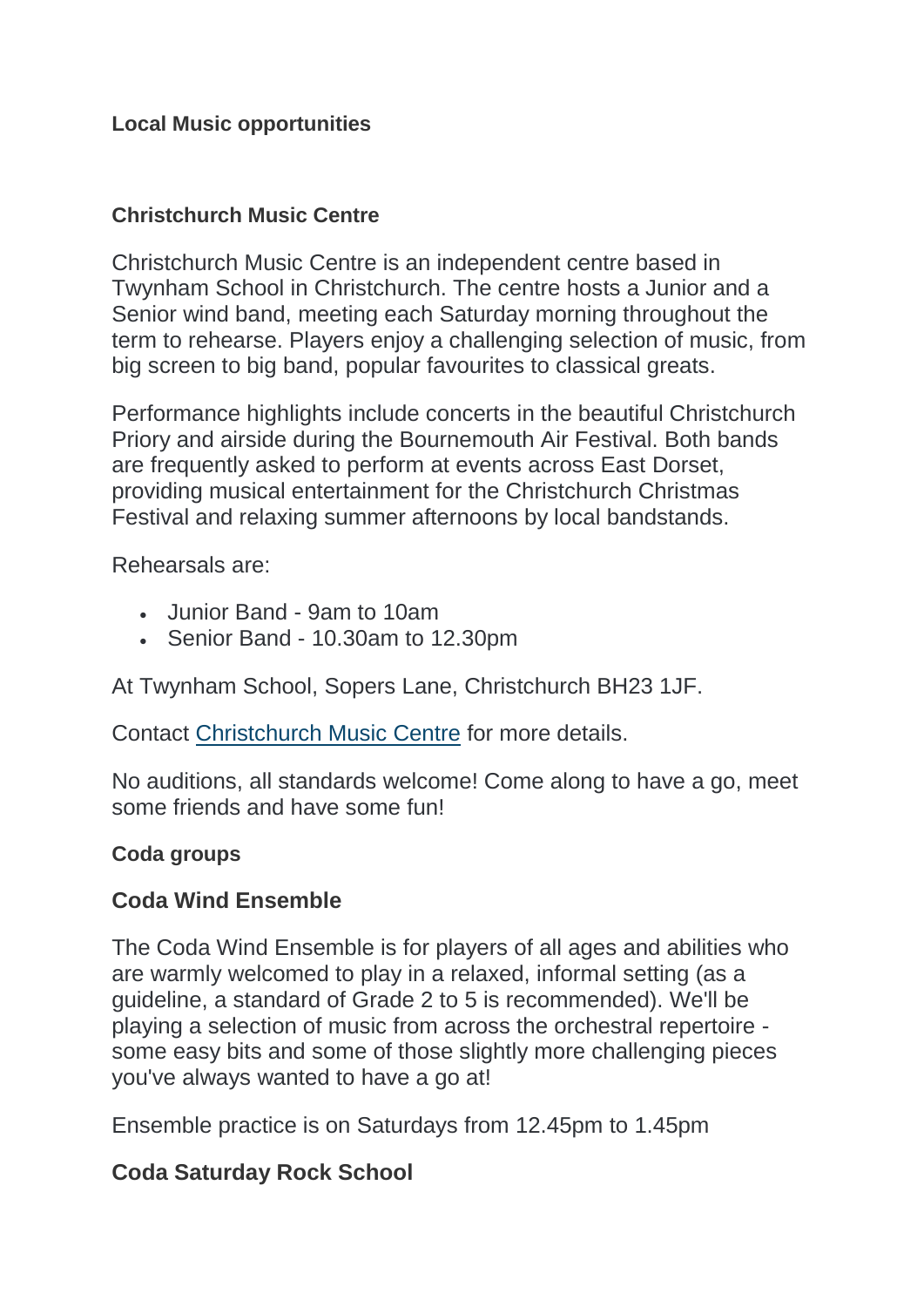### **Local Music opportunities**

#### **Christchurch Music Centre**

Christchurch Music Centre is an independent centre based in Twynham School in Christchurch. The centre hosts a Junior and a Senior wind band, meeting each Saturday morning throughout the term to rehearse. Players enjoy a challenging selection of music, from big screen to big band, popular favourites to classical greats.

Performance highlights include concerts in the beautiful Christchurch Priory and airside during the Bournemouth Air Festival. Both bands are frequently asked to perform at events across East Dorset, providing musical entertainment for the Christchurch Christmas Festival and relaxing summer afternoons by local bandstands.

Rehearsals are:

- Junior Band 9am to 10am
- Senior Band 10.30am to 12.30pm

At Twynham School, Sopers Lane, Christchurch BH23 1JF.

Contact [Christchurch Music Centre](http://www.christchurchmusiccentre.co.uk/) for more details.

No auditions, all standards welcome! Come along to have a go, meet some friends and have some fun!

### **Coda groups**

### **Coda Wind Ensemble**

The Coda Wind Ensemble is for players of all ages and abilities who are warmly welcomed to play in a relaxed, informal setting (as a guideline, a standard of Grade 2 to 5 is recommended). We'll be playing a selection of music from across the orchestral repertoire some easy bits and some of those slightly more challenging pieces you've always wanted to have a go at!

Ensemble practice is on Saturdays from 12.45pm to 1.45pm

### **Coda Saturday Rock School**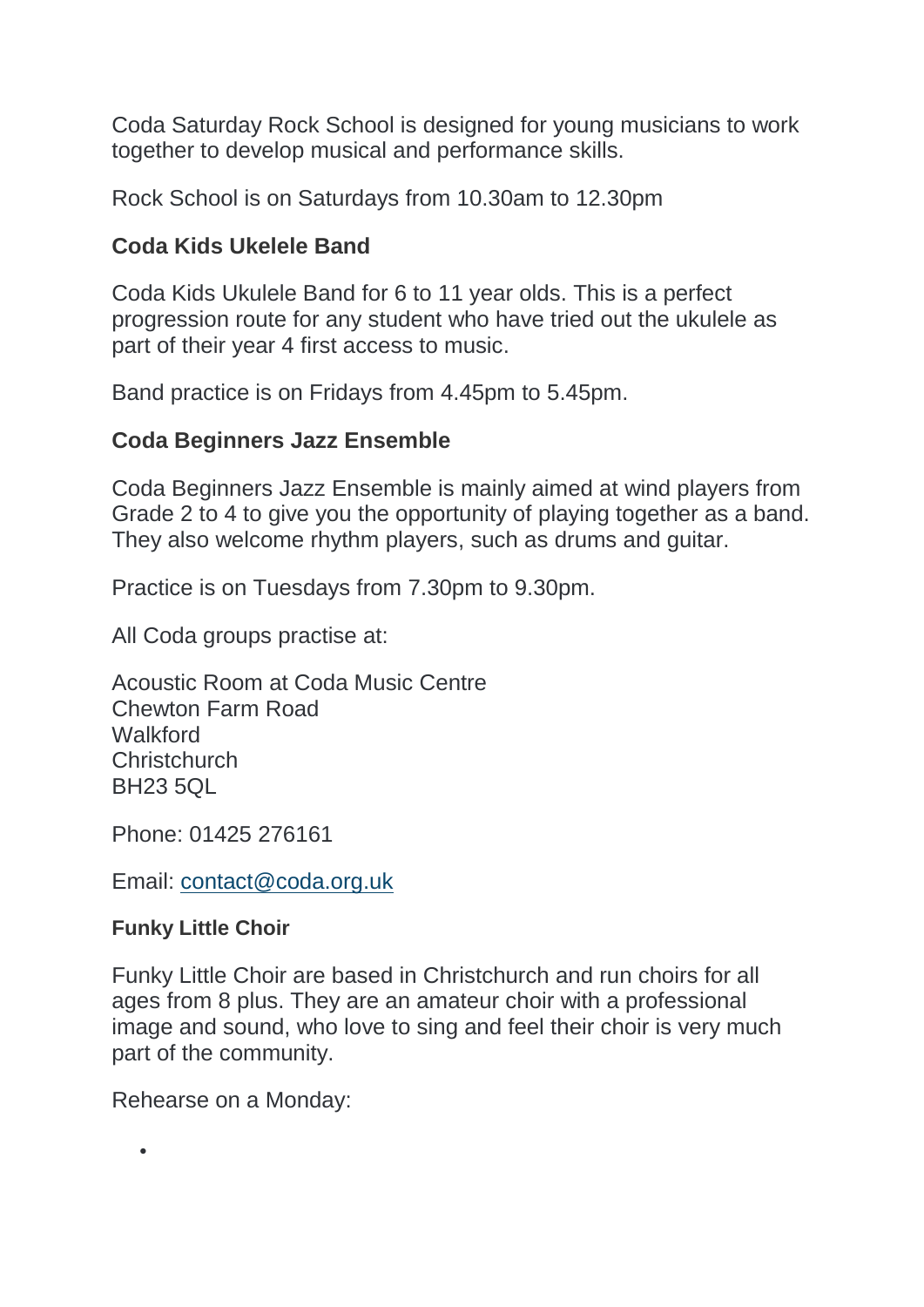Coda Saturday Rock School is designed for young musicians to work together to develop musical and performance skills.

Rock School is on Saturdays from 10.30am to 12.30pm

# **Coda Kids Ukelele Band**

Coda Kids Ukulele Band for 6 to 11 year olds. This is a perfect progression route for any student who have tried out the ukulele as part of their year 4 first access to music.

Band practice is on Fridays from 4.45pm to 5.45pm.

## **Coda Beginners Jazz Ensemble**

Coda Beginners Jazz Ensemble is mainly aimed at wind players from Grade 2 to 4 to give you the opportunity of playing together as a band. They also welcome rhythm players, such as drums and guitar.

Practice is on Tuesdays from 7.30pm to 9.30pm.

All Coda groups practise at:

Acoustic Room at Coda Music Centre Chewton Farm Road **Walkford Christchurch** BH23 5QL

Phone: 01425 276161

Email: [contact@coda.org.uk](mailto:contact@coda.org.uk)

### **Funky Little Choir**

Funky Little Choir are based in Christchurch and run choirs for all ages from 8 plus. They are an amateur choir with a professional image and sound, who love to sing and feel their choir is very much part of the community.

Rehearse on a Monday:

 $\bullet$